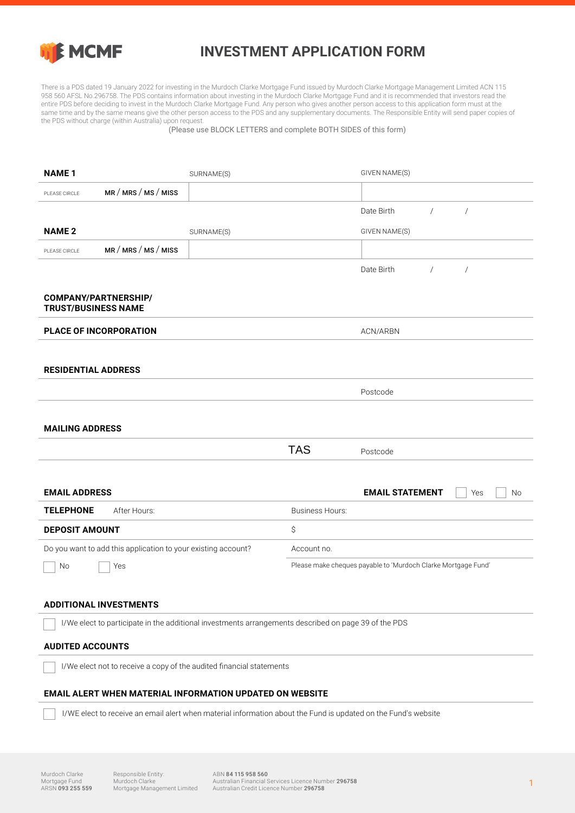

## **INVESTMENT APPLICATION FORM**

There is a PDS dated 19 January 2022 for investing in the Murdoch Clarke Mortgage Fund issued by Murdoch Clarke Mortgage Management Limited ACN 115 958 560 AFSL No.296758. The PDS contains information about investing in the Murdoch Clarke Mortgage Fund and it is recommended that investors read the entire PDS before deciding to invest in the Murdoch Clarke Mortgage Fund. Any person who gives another person access to this application form must at the same time and by the same means give the other person access to the PDS and any supplementary documents. The Responsible Entity will send paper copies of the PDS without charge (within Australia) upon request.

(Please use BLOCK LETTERS and complete BOTH SIDES of this form)

| <b>NAME1</b>                                              |                                                                                                      | SURNAME(S) |                        | GIVEN NAME(S)                                                 |            |                |    |
|-----------------------------------------------------------|------------------------------------------------------------------------------------------------------|------------|------------------------|---------------------------------------------------------------|------------|----------------|----|
| PLEASE CIRCLE                                             | MR / MRS / MS / MISS                                                                                 |            |                        |                                                               |            |                |    |
|                                                           |                                                                                                      |            |                        | Date Birth                                                    | $\sqrt{2}$ | $\sqrt{2}$     |    |
| <b>NAME 2</b>                                             |                                                                                                      | SURNAME(S) |                        | GIVEN NAME(S)                                                 |            |                |    |
| PLEASE CIRCLE                                             | MR/MRS/MS/MISS                                                                                       |            |                        |                                                               |            |                |    |
|                                                           |                                                                                                      |            |                        | Date Birth                                                    | $\sqrt{2}$ | $\overline{1}$ |    |
| <b>COMPANY/PARTNERSHIP/</b><br><b>TRUST/BUSINESS NAME</b> |                                                                                                      |            |                        |                                                               |            |                |    |
| <b>PLACE OF INCORPORATION</b>                             |                                                                                                      |            |                        | ACN/ARBN                                                      |            |                |    |
|                                                           |                                                                                                      |            |                        |                                                               |            |                |    |
| <b>RESIDENTIAL ADDRESS</b>                                |                                                                                                      |            |                        |                                                               |            |                |    |
|                                                           |                                                                                                      |            |                        | Postcode                                                      |            |                |    |
| <b>MAILING ADDRESS</b>                                    |                                                                                                      |            |                        |                                                               |            |                |    |
|                                                           |                                                                                                      |            | <b>TAS</b>             | Postcode                                                      |            |                |    |
|                                                           |                                                                                                      |            |                        |                                                               |            |                |    |
|                                                           |                                                                                                      |            |                        |                                                               |            |                |    |
| <b>EMAIL ADDRESS</b>                                      |                                                                                                      |            |                        | <b>EMAIL STATEMENT</b>                                        |            | Yes            | No |
| <b>TELEPHONE</b>                                          | After Hours:                                                                                         |            | <b>Business Hours:</b> |                                                               |            |                |    |
| <b>DEPOSIT AMOUNT</b>                                     |                                                                                                      |            | \$                     |                                                               |            |                |    |
|                                                           | Do you want to add this application to your existing account?                                        |            | Account no.            |                                                               |            |                |    |
| No                                                        | Yes                                                                                                  |            |                        | Please make cheques payable to 'Murdoch Clarke Mortgage Fund' |            |                |    |
|                                                           |                                                                                                      |            |                        |                                                               |            |                |    |
|                                                           | <b>ADDITIONAL INVESTMENTS</b>                                                                        |            |                        |                                                               |            |                |    |
|                                                           | I/We elect to participate in the additional investments arrangements described on page 39 of the PDS |            |                        |                                                               |            |                |    |
| <b>AUDITED ACCOUNTS</b>                                   |                                                                                                      |            |                        |                                                               |            |                |    |
|                                                           | I/We elect not to receive a copy of the audited financial statements                                 |            |                        |                                                               |            |                |    |
|                                                           | <b>EMAIL ALERT WHEN MATERIAL INFORMATION UPDATED ON WEBSITE</b>                                      |            |                        |                                                               |            |                |    |